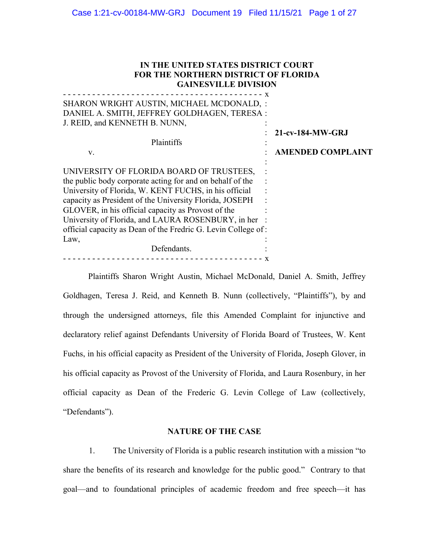| IN THE UNITED STATES DISTRICT COURT<br><b>FOR THE NORTHERN DISTRICT OF FLORIDA</b><br><b>GAINESVILLE DIVISION</b><br>-----------------------------------                                                                                                                                                                                                                                                                      |                                              |
|-------------------------------------------------------------------------------------------------------------------------------------------------------------------------------------------------------------------------------------------------------------------------------------------------------------------------------------------------------------------------------------------------------------------------------|----------------------------------------------|
| SHARON WRIGHT AUSTIN, MICHAEL MCDONALD, :<br>DANIEL A. SMITH, JEFFREY GOLDHAGEN, TERESA:<br>J. REID, and KENNETH B. NUNN,<br>Plaintiffs<br>V.                                                                                                                                                                                                                                                                                 | 21-cv-184-MW-GRJ<br><b>AMENDED COMPLAINT</b> |
| UNIVERSITY OF FLORIDA BOARD OF TRUSTEES,<br>the public body corporate acting for and on behalf of the<br>University of Florida, W. KENT FUCHS, in his official<br>capacity as President of the University Florida, JOSEPH<br>GLOVER, in his official capacity as Provost of the<br>University of Florida, and LAURA ROSENBURY, in her<br>official capacity as Dean of the Fredric G. Levin College of:<br>Law,<br>Defendants. |                                              |

Plaintiffs Sharon Wright Austin, Michael McDonald, Daniel A. Smith, Jeffrey Goldhagen, Teresa J. Reid, and Kenneth B. Nunn (collectively, "Plaintiffs"), by and through the undersigned attorneys, file this Amended Complaint for injunctive and declaratory relief against Defendants University of Florida Board of Trustees, W. Kent Fuchs, in his official capacity as President of the University of Florida, Joseph Glover, in his official capacity as Provost of the University of Florida, and Laura Rosenbury, in her official capacity as Dean of the Frederic G. Levin College of Law (collectively, "Defendants").

## **NATURE OF THE CASE**

1. The University of Florida is a public research institution with a mission "to share the benefits of its research and knowledge for the public good." Contrary to that goal—and to foundational principles of academic freedom and free speech—it has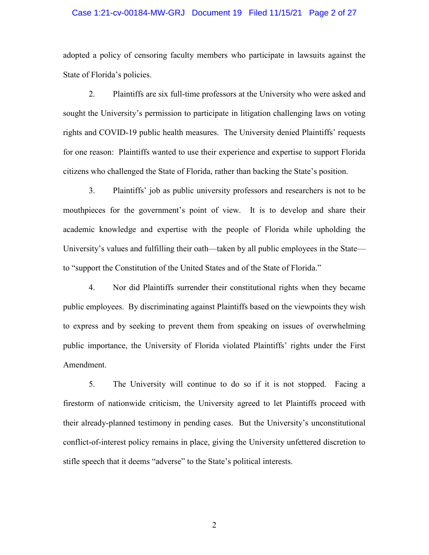## Case 1:21-cv-00184-MW-GRJ Document 19 Filed 11/15/21 Page 2 of 27

adopted a policy of censoring faculty members who participate in lawsuits against the State of Florida's policies.

2. Plaintiffs are six full-time professors at the University who were asked and sought the University's permission to participate in litigation challenging laws on voting rights and COVID-19 public health measures. The University denied Plaintiffs' requests for one reason: Plaintiffs wanted to use their experience and expertise to support Florida citizens who challenged the State of Florida, rather than backing the State's position.

3. Plaintiffs' job as public university professors and researchers is not to be mouthpieces for the government's point of view. It is to develop and share their academic knowledge and expertise with the people of Florida while upholding the University's values and fulfilling their oath—taken by all public employees in the State to "support the Constitution of the United States and of the State of Florida."

4. Nor did Plaintiffs surrender their constitutional rights when they became public employees. By discriminating against Plaintiffs based on the viewpoints they wish to express and by seeking to prevent them from speaking on issues of overwhelming public importance, the University of Florida violated Plaintiffs' rights under the First Amendment.

5. The University will continue to do so if it is not stopped. Facing a firestorm of nationwide criticism, the University agreed to let Plaintiffs proceed with their already-planned testimony in pending cases. But the University's unconstitutional conflict-of-interest policy remains in place, giving the University unfettered discretion to stifle speech that it deems "adverse" to the State's political interests.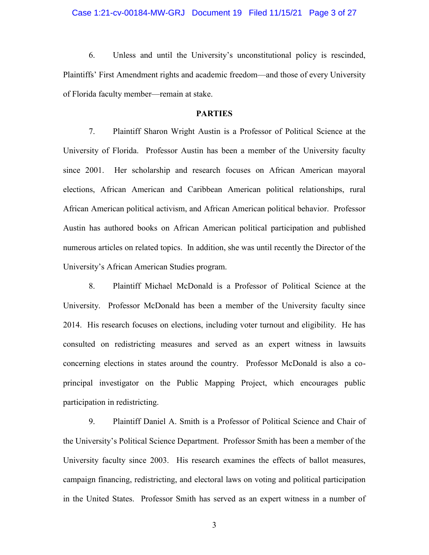## Case 1:21-cv-00184-MW-GRJ Document 19 Filed 11/15/21 Page 3 of 27

6. Unless and until the University's unconstitutional policy is rescinded, Plaintiffs' First Amendment rights and academic freedom—and those of every University of Florida faculty member—remain at stake.

## **PARTIES**

7. Plaintiff Sharon Wright Austin is a Professor of Political Science at the University of Florida. Professor Austin has been a member of the University faculty since 2001. Her scholarship and research focuses on African American mayoral elections, African American and Caribbean American political relationships, rural African American political activism, and African American political behavior. Professor Austin has authored books on African American political participation and published numerous articles on related topics. In addition, she was until recently the Director of the University's African American Studies program.

8. Plaintiff Michael McDonald is a Professor of Political Science at the University. Professor McDonald has been a member of the University faculty since 2014. His research focuses on elections, including voter turnout and eligibility. He has consulted on redistricting measures and served as an expert witness in lawsuits concerning elections in states around the country. Professor McDonald is also a coprincipal investigator on the Public Mapping Project, which encourages public participation in redistricting.

9. Plaintiff Daniel A. Smith is a Professor of Political Science and Chair of the University's Political Science Department. Professor Smith has been a member of the University faculty since 2003. His research examines the effects of ballot measures, campaign financing, redistricting, and electoral laws on voting and political participation in the United States. Professor Smith has served as an expert witness in a number of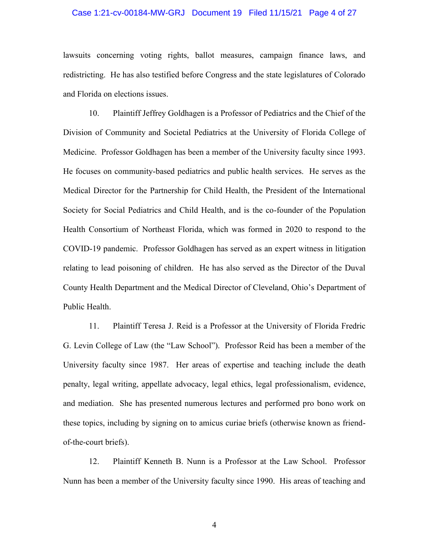## Case 1:21-cv-00184-MW-GRJ Document 19 Filed 11/15/21 Page 4 of 27

lawsuits concerning voting rights, ballot measures, campaign finance laws, and redistricting. He has also testified before Congress and the state legislatures of Colorado and Florida on elections issues.

10. Plaintiff Jeffrey Goldhagen is a Professor of Pediatrics and the Chief of the Division of Community and Societal Pediatrics at the University of Florida College of Medicine. Professor Goldhagen has been a member of the University faculty since 1993. He focuses on community-based pediatrics and public health services. He serves as the Medical Director for the Partnership for Child Health, the President of the International Society for Social Pediatrics and Child Health, and is the co-founder of the Population Health Consortium of Northeast Florida, which was formed in 2020 to respond to the COVID-19 pandemic. Professor Goldhagen has served as an expert witness in litigation relating to lead poisoning of children. He has also served as the Director of the Duval County Health Department and the Medical Director of Cleveland, Ohio's Department of Public Health.

11. Plaintiff Teresa J. Reid is a Professor at the University of Florida Fredric G. Levin College of Law (the "Law School"). Professor Reid has been a member of the University faculty since 1987. Her areas of expertise and teaching include the death penalty, legal writing, appellate advocacy, legal ethics, legal professionalism, evidence, and mediation. She has presented numerous lectures and performed pro bono work on these topics, including by signing on to amicus curiae briefs (otherwise known as friendof-the-court briefs).

12. Plaintiff Kenneth B. Nunn is a Professor at the Law School. Professor Nunn has been a member of the University faculty since 1990. His areas of teaching and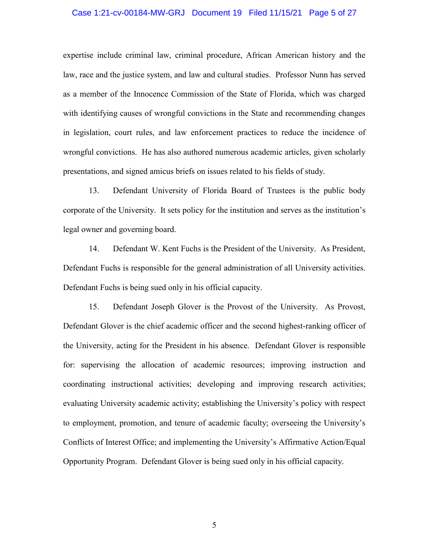## Case 1:21-cv-00184-MW-GRJ Document 19 Filed 11/15/21 Page 5 of 27

expertise include criminal law, criminal procedure, African American history and the law, race and the justice system, and law and cultural studies. Professor Nunn has served as a member of the Innocence Commission of the State of Florida, which was charged with identifying causes of wrongful convictions in the State and recommending changes in legislation, court rules, and law enforcement practices to reduce the incidence of wrongful convictions. He has also authored numerous academic articles, given scholarly presentations, and signed amicus briefs on issues related to his fields of study.

13. Defendant University of Florida Board of Trustees is the public body corporate of the University. It sets policy for the institution and serves as the institution's legal owner and governing board.

14. Defendant W. Kent Fuchs is the President of the University. As President, Defendant Fuchs is responsible for the general administration of all University activities. Defendant Fuchs is being sued only in his official capacity.

15. Defendant Joseph Glover is the Provost of the University. As Provost, Defendant Glover is the chief academic officer and the second highest-ranking officer of the University, acting for the President in his absence. Defendant Glover is responsible for: supervising the allocation of academic resources; improving instruction and coordinating instructional activities; developing and improving research activities; evaluating University academic activity; establishing the University's policy with respect to employment, promotion, and tenure of academic faculty; overseeing the University's Conflicts of Interest Office; and implementing the University's Affirmative Action/Equal Opportunity Program. Defendant Glover is being sued only in his official capacity.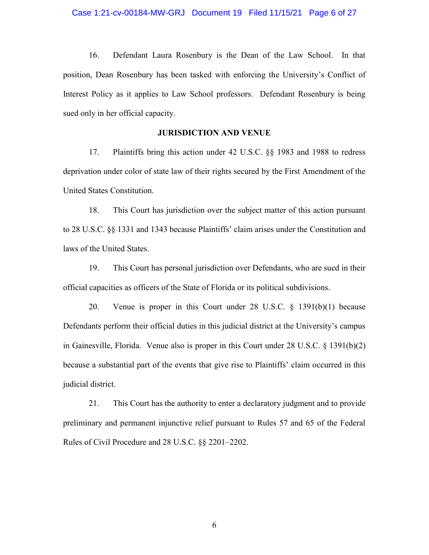## Case 1:21-cv-00184-MW-GRJ Document 19 Filed 11/15/21 Page 6 of 27

16. Defendant Laura Rosenbury is the Dean of the Law School. In that position, Dean Rosenbury has been tasked with enforcing the University's Conflict of Interest Policy as it applies to Law School professors. Defendant Rosenbury is being sued only in her official capacity.

## **JURISDICTION AND VENUE**

17. Plaintiffs bring this action under 42 U.S.C. §§ 1983 and 1988 to redress deprivation under color of state law of their rights secured by the First Amendment of the United States Constitution.

18. This Court has jurisdiction over the subject matter of this action pursuant to 28 U.S.C. §§ 1331 and 1343 because Plaintiffs' claim arises under the Constitution and laws of the United States.

19. This Court has personal jurisdiction over Defendants, who are sued in their official capacities as officers of the State of Florida or its political subdivisions.

20. Venue is proper in this Court under 28 U.S.C. § 1391(b)(1) because Defendants perform their official duties in this judicial district at the University's campus in Gainesville, Florida. Venue also is proper in this Court under 28 U.S.C. § 1391(b)(2) because a substantial part of the events that give rise to Plaintiffs' claim occurred in this judicial district.

21. This Court has the authority to enter a declaratory judgment and to provide preliminary and permanent injunctive relief pursuant to Rules 57 and 65 of the Federal Rules of Civil Procedure and 28 U.S.C. §§ 2201–2202.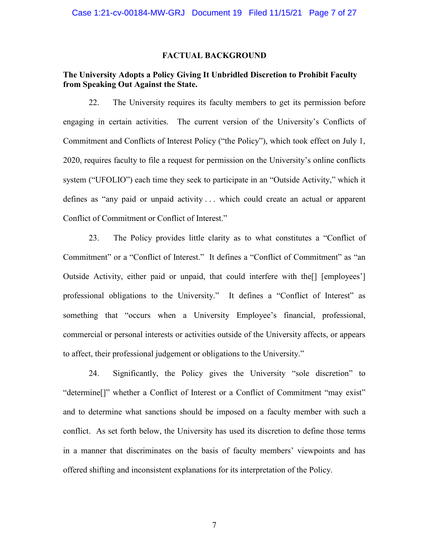## **FACTUAL BACKGROUND**

# **The University Adopts a Policy Giving It Unbridled Discretion to Prohibit Faculty from Speaking Out Against the State.**

22. The University requires its faculty members to get its permission before engaging in certain activities. The current version of the University's Conflicts of Commitment and Conflicts of Interest Policy ("the Policy"), which took effect on July 1, 2020, requires faculty to file a request for permission on the University's online conflicts system ("UFOLIO") each time they seek to participate in an "Outside Activity," which it defines as "any paid or unpaid activity . . . which could create an actual or apparent Conflict of Commitment or Conflict of Interest."

23. The Policy provides little clarity as to what constitutes a "Conflict of Commitment" or a "Conflict of Interest." It defines a "Conflict of Commitment" as "an Outside Activity, either paid or unpaid, that could interfere with the[] [employees'] professional obligations to the University." It defines a "Conflict of Interest" as something that "occurs when a University Employee's financial, professional, commercial or personal interests or activities outside of the University affects, or appears to affect, their professional judgement or obligations to the University."

24. Significantly, the Policy gives the University "sole discretion" to "determine[]" whether a Conflict of Interest or a Conflict of Commitment "may exist" and to determine what sanctions should be imposed on a faculty member with such a conflict. As set forth below, the University has used its discretion to define those terms in a manner that discriminates on the basis of faculty members' viewpoints and has offered shifting and inconsistent explanations for its interpretation of the Policy.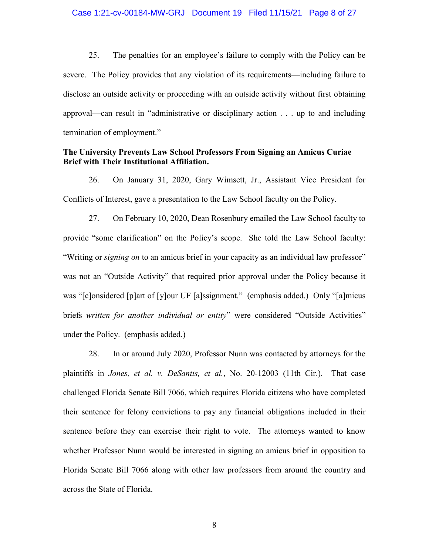### Case 1:21-cv-00184-MW-GRJ Document 19 Filed 11/15/21 Page 8 of 27

25. The penalties for an employee's failure to comply with the Policy can be severe. The Policy provides that any violation of its requirements—including failure to disclose an outside activity or proceeding with an outside activity without first obtaining approval—can result in "administrative or disciplinary action . . . up to and including termination of employment."

## **The University Prevents Law School Professors From Signing an Amicus Curiae Brief with Their Institutional Affiliation.**

26. On January 31, 2020, Gary Wimsett, Jr., Assistant Vice President for Conflicts of Interest, gave a presentation to the Law School faculty on the Policy.

27. On February 10, 2020, Dean Rosenbury emailed the Law School faculty to provide "some clarification" on the Policy's scope. She told the Law School faculty: "Writing or *signing on* to an amicus brief in your capacity as an individual law professor" was not an "Outside Activity" that required prior approval under the Policy because it was "[c]onsidered [p]art of [y]our UF [a]ssignment." (emphasis added.) Only "[a]micus briefs *written for another individual or entity*" were considered "Outside Activities" under the Policy. (emphasis added.)

28. In or around July 2020, Professor Nunn was contacted by attorneys for the plaintiffs in *Jones, et al. v. DeSantis, et al.*, No. 20-12003 (11th Cir.). That case challenged Florida Senate Bill 7066, which requires Florida citizens who have completed their sentence for felony convictions to pay any financial obligations included in their sentence before they can exercise their right to vote. The attorneys wanted to know whether Professor Nunn would be interested in signing an amicus brief in opposition to Florida Senate Bill 7066 along with other law professors from around the country and across the State of Florida.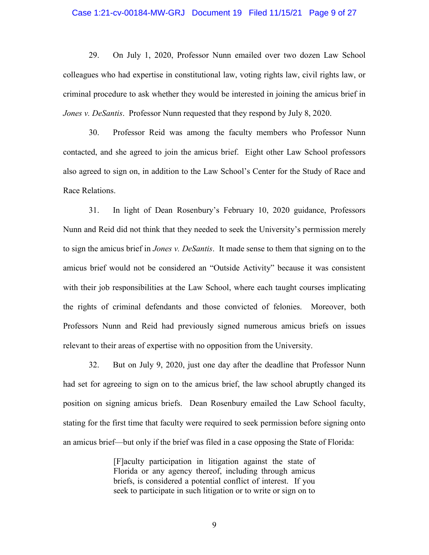## Case 1:21-cv-00184-MW-GRJ Document 19 Filed 11/15/21 Page 9 of 27

29. On July 1, 2020, Professor Nunn emailed over two dozen Law School colleagues who had expertise in constitutional law, voting rights law, civil rights law, or criminal procedure to ask whether they would be interested in joining the amicus brief in *Jones v. DeSantis*. Professor Nunn requested that they respond by July 8, 2020.

30. Professor Reid was among the faculty members who Professor Nunn contacted, and she agreed to join the amicus brief. Eight other Law School professors also agreed to sign on, in addition to the Law School's Center for the Study of Race and Race Relations.

31. In light of Dean Rosenbury's February 10, 2020 guidance, Professors Nunn and Reid did not think that they needed to seek the University's permission merely to sign the amicus brief in *Jones v. DeSantis*. It made sense to them that signing on to the amicus brief would not be considered an "Outside Activity" because it was consistent with their job responsibilities at the Law School, where each taught courses implicating the rights of criminal defendants and those convicted of felonies. Moreover, both Professors Nunn and Reid had previously signed numerous amicus briefs on issues relevant to their areas of expertise with no opposition from the University.

32. But on July 9, 2020, just one day after the deadline that Professor Nunn had set for agreeing to sign on to the amicus brief, the law school abruptly changed its position on signing amicus briefs. Dean Rosenbury emailed the Law School faculty, stating for the first time that faculty were required to seek permission before signing onto an amicus brief—but only if the brief was filed in a case opposing the State of Florida:

> [F]aculty participation in litigation against the state of Florida or any agency thereof, including through amicus briefs, is considered a potential conflict of interest. If you seek to participate in such litigation or to write or sign on to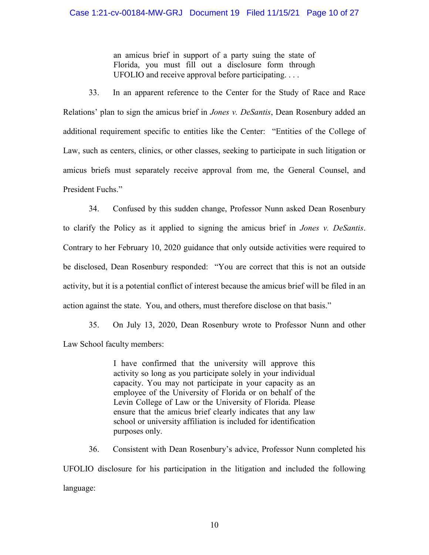an amicus brief in support of a party suing the state of Florida, you must fill out a disclosure form through UFOLIO and receive approval before participating. . . .

33. In an apparent reference to the Center for the Study of Race and Race Relations' plan to sign the amicus brief in *Jones v. DeSantis*, Dean Rosenbury added an additional requirement specific to entities like the Center: "Entities of the College of Law, such as centers, clinics, or other classes, seeking to participate in such litigation or amicus briefs must separately receive approval from me, the General Counsel, and President Fuchs."

34. Confused by this sudden change, Professor Nunn asked Dean Rosenbury to clarify the Policy as it applied to signing the amicus brief in *Jones v. DeSantis*. Contrary to her February 10, 2020 guidance that only outside activities were required to be disclosed, Dean Rosenbury responded: "You are correct that this is not an outside activity, but it is a potential conflict of interest because the amicus brief will be filed in an action against the state. You, and others, must therefore disclose on that basis."

35. On July 13, 2020, Dean Rosenbury wrote to Professor Nunn and other Law School faculty members:

> I have confirmed that the university will approve this activity so long as you participate solely in your individual capacity. You may not participate in your capacity as an employee of the University of Florida or on behalf of the Levin College of Law or the University of Florida. Please ensure that the amicus brief clearly indicates that any law school or university affiliation is included for identification purposes only.

36. Consistent with Dean Rosenbury's advice, Professor Nunn completed his UFOLIO disclosure for his participation in the litigation and included the following language: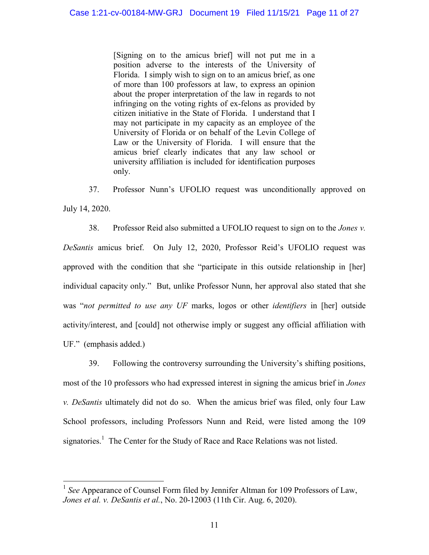[Signing on to the amicus brief] will not put me in a position adverse to the interests of the University of Florida. I simply wish to sign on to an amicus brief, as one of more than 100 professors at law, to express an opinion about the proper interpretation of the law in regards to not infringing on the voting rights of ex-felons as provided by citizen initiative in the State of Florida. I understand that I may not participate in my capacity as an employee of the University of Florida or on behalf of the Levin College of Law or the University of Florida. I will ensure that the amicus brief clearly indicates that any law school or university affiliation is included for identification purposes only.

37. Professor Nunn's UFOLIO request was unconditionally approved on July 14, 2020.

38. Professor Reid also submitted a UFOLIO request to sign on to the *Jones v. DeSantis* amicus brief. On July 12, 2020, Professor Reid's UFOLIO request was approved with the condition that she "participate in this outside relationship in [her] individual capacity only." But, unlike Professor Nunn, her approval also stated that she was "*not permitted to use any UF* marks, logos or other *identifiers* in [her] outside activity/interest, and [could] not otherwise imply or suggest any official affiliation with UF." (emphasis added.)

39. Following the controversy surrounding the University's shifting positions, most of the 10 professors who had expressed interest in signing the amicus brief in *Jones v. DeSantis* ultimately did not do so. When the amicus brief was filed, only four Law School professors, including Professors Nunn and Reid, were listed among the 109 signatories.<sup>1</sup> The Center for the Study of Race and Race Relations was not listed.

 $\overline{a}$ 

<sup>1</sup> *See* Appearance of Counsel Form filed by Jennifer Altman for 109 Professors of Law, *Jones et al. v. DeSantis et al.*, No. 20-12003 (11th Cir. Aug. 6, 2020).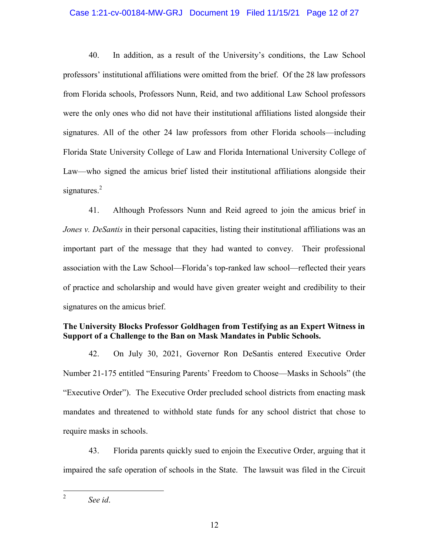## Case 1:21-cv-00184-MW-GRJ Document 19 Filed 11/15/21 Page 12 of 27

40. In addition, as a result of the University's conditions, the Law School professors' institutional affiliations were omitted from the brief. Of the 28 law professors from Florida schools, Professors Nunn, Reid, and two additional Law School professors were the only ones who did not have their institutional affiliations listed alongside their signatures. All of the other 24 law professors from other Florida schools—including Florida State University College of Law and Florida International University College of Law—who signed the amicus brief listed their institutional affiliations alongside their signatures.<sup>2</sup>

41. Although Professors Nunn and Reid agreed to join the amicus brief in *Jones v. DeSantis* in their personal capacities, listing their institutional affiliations was an important part of the message that they had wanted to convey. Their professional association with the Law School—Florida's top-ranked law school—reflected their years of practice and scholarship and would have given greater weight and credibility to their signatures on the amicus brief.

# **The University Blocks Professor Goldhagen from Testifying as an Expert Witness in Support of a Challenge to the Ban on Mask Mandates in Public Schools.**

42. On July 30, 2021, Governor Ron DeSantis entered Executive Order Number 21-175 entitled "Ensuring Parents' Freedom to Choose—Masks in Schools" (the "Executive Order"). The Executive Order precluded school districts from enacting mask mandates and threatened to withhold state funds for any school district that chose to require masks in schools.

43. Florida parents quickly sued to enjoin the Executive Order, arguing that it impaired the safe operation of schools in the State. The lawsuit was filed in the Circuit

 $\frac{1}{2}$ *See id*.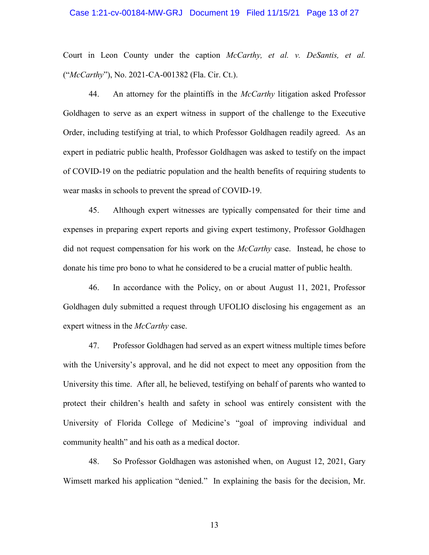## Case 1:21-cv-00184-MW-GRJ Document 19 Filed 11/15/21 Page 13 of 27

Court in Leon County under the caption *McCarthy, et al. v. DeSantis, et al.* ("*McCarthy*"), No. 2021-CA-001382 (Fla. Cir. Ct.).

44. An attorney for the plaintiffs in the *McCarthy* litigation asked Professor Goldhagen to serve as an expert witness in support of the challenge to the Executive Order, including testifying at trial, to which Professor Goldhagen readily agreed. As an expert in pediatric public health, Professor Goldhagen was asked to testify on the impact of COVID-19 on the pediatric population and the health benefits of requiring students to wear masks in schools to prevent the spread of COVID-19.

45. Although expert witnesses are typically compensated for their time and expenses in preparing expert reports and giving expert testimony, Professor Goldhagen did not request compensation for his work on the *McCarthy* case. Instead, he chose to donate his time pro bono to what he considered to be a crucial matter of public health.

46. In accordance with the Policy, on or about August 11, 2021, Professor Goldhagen duly submitted a request through UFOLIO disclosing his engagement as an expert witness in the *McCarthy* case.

47. Professor Goldhagen had served as an expert witness multiple times before with the University's approval, and he did not expect to meet any opposition from the University this time. After all, he believed, testifying on behalf of parents who wanted to protect their children's health and safety in school was entirely consistent with the University of Florida College of Medicine's "goal of improving individual and community health" and his oath as a medical doctor.

48. So Professor Goldhagen was astonished when, on August 12, 2021, Gary Wimsett marked his application "denied." In explaining the basis for the decision, Mr.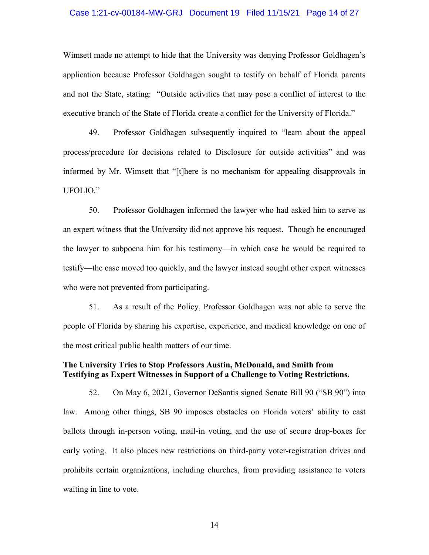## Case 1:21-cv-00184-MW-GRJ Document 19 Filed 11/15/21 Page 14 of 27

Wimsett made no attempt to hide that the University was denying Professor Goldhagen's application because Professor Goldhagen sought to testify on behalf of Florida parents and not the State, stating: "Outside activities that may pose a conflict of interest to the executive branch of the State of Florida create a conflict for the University of Florida."

49. Professor Goldhagen subsequently inquired to "learn about the appeal process/procedure for decisions related to Disclosure for outside activities" and was informed by Mr. Wimsett that "[t]here is no mechanism for appealing disapprovals in UFOLIO."

50. Professor Goldhagen informed the lawyer who had asked him to serve as an expert witness that the University did not approve his request. Though he encouraged the lawyer to subpoena him for his testimony—in which case he would be required to testify—the case moved too quickly, and the lawyer instead sought other expert witnesses who were not prevented from participating.

51. As a result of the Policy, Professor Goldhagen was not able to serve the people of Florida by sharing his expertise, experience, and medical knowledge on one of the most critical public health matters of our time.

## **The University Tries to Stop Professors Austin, McDonald, and Smith from Testifying as Expert Witnesses in Support of a Challenge to Voting Restrictions.**

52. On May 6, 2021, Governor DeSantis signed Senate Bill 90 ("SB 90") into law. Among other things, SB 90 imposes obstacles on Florida voters' ability to cast ballots through in-person voting, mail-in voting, and the use of secure drop-boxes for early voting. It also places new restrictions on third-party voter-registration drives and prohibits certain organizations, including churches, from providing assistance to voters waiting in line to vote.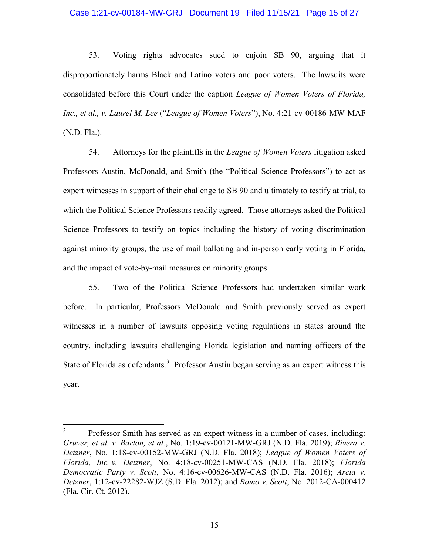## Case 1:21-cv-00184-MW-GRJ Document 19 Filed 11/15/21 Page 15 of 27

53. Voting rights advocates sued to enjoin SB 90, arguing that it disproportionately harms Black and Latino voters and poor voters. The lawsuits were consolidated before this Court under the caption *League of Women Voters of Florida, Inc., et al., v. Laurel M. Lee* ("*League of Women Voters*"), No. 4:21-cv-00186-MW-MAF (N.D. Fla.).

54. Attorneys for the plaintiffs in the *League of Women Voters* litigation asked Professors Austin, McDonald, and Smith (the "Political Science Professors") to act as expert witnesses in support of their challenge to SB 90 and ultimately to testify at trial, to which the Political Science Professors readily agreed. Those attorneys asked the Political Science Professors to testify on topics including the history of voting discrimination against minority groups, the use of mail balloting and in-person early voting in Florida, and the impact of vote-by-mail measures on minority groups.

55. Two of the Political Science Professors had undertaken similar work before. In particular, Professors McDonald and Smith previously served as expert witnesses in a number of lawsuits opposing voting regulations in states around the country, including lawsuits challenging Florida legislation and naming officers of the State of Florida as defendants.<sup>3</sup> Professor Austin began serving as an expert witness this year.

 $\overline{a}$ 

<sup>3</sup> Professor Smith has served as an expert witness in a number of cases, including: *Gruver, et al. v. Barton, et al.*, No. 1:19-cv-00121-MW-GRJ (N.D. Fla. 2019); *Rivera v. Detzner*, No. 1:18-cv-00152-MW-GRJ (N.D. Fla. 2018); *League of Women Voters of Florida, Inc. v. Detzner*, No. 4:18-cv-00251-MW-CAS (N.D. Fla. 2018); *Florida Democratic Party v. Scott*, No. 4:16-cv-00626-MW-CAS (N.D. Fla. 2016); *Arcia v. Detzner*, 1:12-cv-22282-WJZ (S.D. Fla. 2012); and *Romo v. Scott*, No. 2012-CA-000412 (Fla. Cir. Ct. 2012).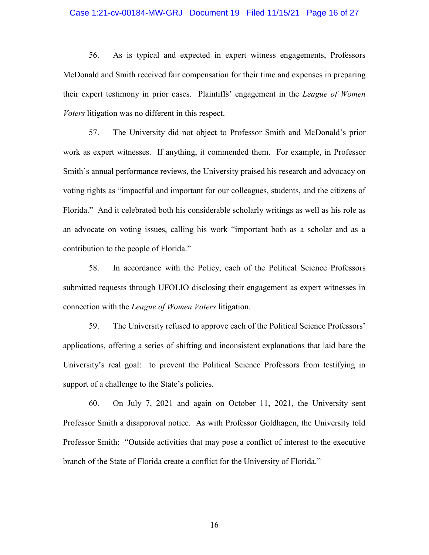## Case 1:21-cv-00184-MW-GRJ Document 19 Filed 11/15/21 Page 16 of 27

56. As is typical and expected in expert witness engagements, Professors McDonald and Smith received fair compensation for their time and expenses in preparing their expert testimony in prior cases. Plaintiffs' engagement in the *League of Women Voters* litigation was no different in this respect.

57. The University did not object to Professor Smith and McDonald's prior work as expert witnesses. If anything, it commended them. For example, in Professor Smith's annual performance reviews, the University praised his research and advocacy on voting rights as "impactful and important for our colleagues, students, and the citizens of Florida." And it celebrated both his considerable scholarly writings as well as his role as an advocate on voting issues, calling his work "important both as a scholar and as a contribution to the people of Florida."

58. In accordance with the Policy, each of the Political Science Professors submitted requests through UFOLIO disclosing their engagement as expert witnesses in connection with the *League of Women Voters* litigation.

59. The University refused to approve each of the Political Science Professors' applications, offering a series of shifting and inconsistent explanations that laid bare the University's real goal: to prevent the Political Science Professors from testifying in support of a challenge to the State's policies.

60. On July 7, 2021 and again on October 11, 2021, the University sent Professor Smith a disapproval notice. As with Professor Goldhagen, the University told Professor Smith: "Outside activities that may pose a conflict of interest to the executive branch of the State of Florida create a conflict for the University of Florida."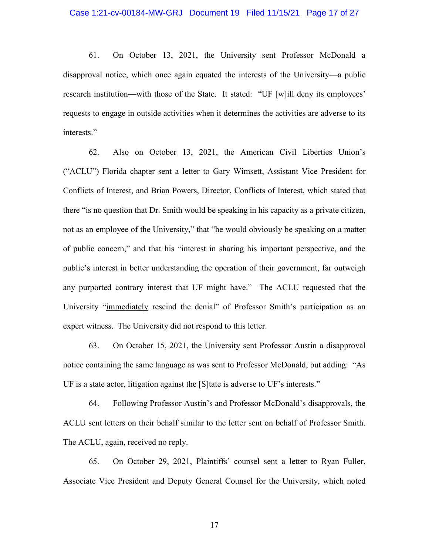## Case 1:21-cv-00184-MW-GRJ Document 19 Filed 11/15/21 Page 17 of 27

61. On October 13, 2021, the University sent Professor McDonald a disapproval notice, which once again equated the interests of the University—a public research institution—with those of the State. It stated: "UF [w]ill deny its employees' requests to engage in outside activities when it determines the activities are adverse to its interests."

62. Also on October 13, 2021, the American Civil Liberties Union's ("ACLU") Florida chapter sent a letter to Gary Wimsett, Assistant Vice President for Conflicts of Interest, and Brian Powers, Director, Conflicts of Interest, which stated that there "is no question that Dr. Smith would be speaking in his capacity as a private citizen, not as an employee of the University," that "he would obviously be speaking on a matter of public concern," and that his "interest in sharing his important perspective, and the public's interest in better understanding the operation of their government, far outweigh any purported contrary interest that UF might have." The ACLU requested that the University "immediately rescind the denial" of Professor Smith's participation as an expert witness. The University did not respond to this letter.

63. On October 15, 2021, the University sent Professor Austin a disapproval notice containing the same language as was sent to Professor McDonald, but adding: "As UF is a state actor, litigation against the [S]tate is adverse to UF's interests."

64. Following Professor Austin's and Professor McDonald's disapprovals, the ACLU sent letters on their behalf similar to the letter sent on behalf of Professor Smith. The ACLU, again, received no reply.

65. On October 29, 2021, Plaintiffs' counsel sent a letter to Ryan Fuller, Associate Vice President and Deputy General Counsel for the University, which noted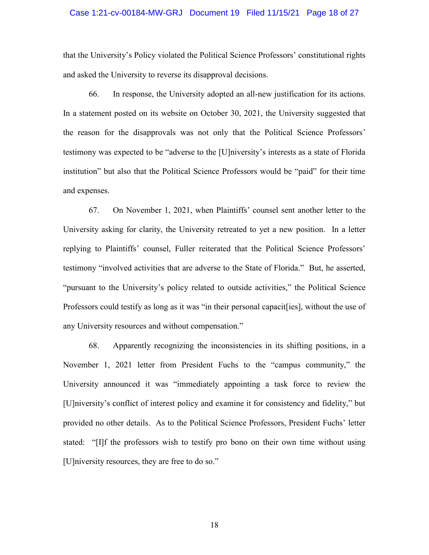## Case 1:21-cv-00184-MW-GRJ Document 19 Filed 11/15/21 Page 18 of 27

that the University's Policy violated the Political Science Professors' constitutional rights and asked the University to reverse its disapproval decisions.

66. In response, the University adopted an all-new justification for its actions. In a statement posted on its website on October 30, 2021, the University suggested that the reason for the disapprovals was not only that the Political Science Professors' testimony was expected to be "adverse to the [U]niversity's interests as a state of Florida institution" but also that the Political Science Professors would be "paid" for their time and expenses.

67. On November 1, 2021, when Plaintiffs' counsel sent another letter to the University asking for clarity, the University retreated to yet a new position. In a letter replying to Plaintiffs' counsel, Fuller reiterated that the Political Science Professors' testimony "involved activities that are adverse to the State of Florida." But, he asserted, "pursuant to the University's policy related to outside activities," the Political Science Professors could testify as long as it was "in their personal capacit[ies], without the use of any University resources and without compensation."

68. Apparently recognizing the inconsistencies in its shifting positions, in a November 1, 2021 letter from President Fuchs to the "campus community," the University announced it was "immediately appointing a task force to review the [U]niversity's conflict of interest policy and examine it for consistency and fidelity," but provided no other details. As to the Political Science Professors, President Fuchs' letter stated: "[I]f the professors wish to testify pro bono on their own time without using [U]niversity resources, they are free to do so."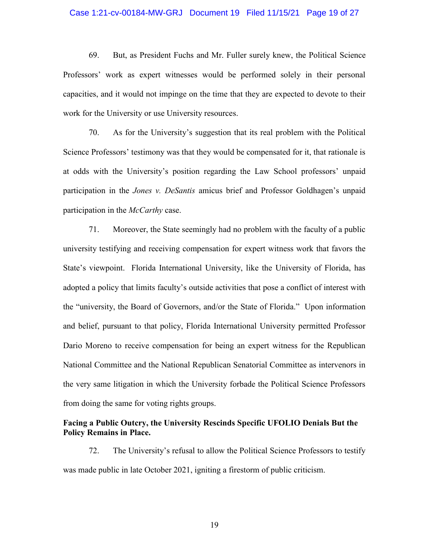## Case 1:21-cv-00184-MW-GRJ Document 19 Filed 11/15/21 Page 19 of 27

69. But, as President Fuchs and Mr. Fuller surely knew, the Political Science Professors' work as expert witnesses would be performed solely in their personal capacities, and it would not impinge on the time that they are expected to devote to their work for the University or use University resources.

70. As for the University's suggestion that its real problem with the Political Science Professors' testimony was that they would be compensated for it, that rationale is at odds with the University's position regarding the Law School professors' unpaid participation in the *Jones v. DeSantis* amicus brief and Professor Goldhagen's unpaid participation in the *McCarthy* case.

71. Moreover, the State seemingly had no problem with the faculty of a public university testifying and receiving compensation for expert witness work that favors the State's viewpoint. Florida International University, like the University of Florida, has adopted a policy that limits faculty's outside activities that pose a conflict of interest with the "university, the Board of Governors, and/or the State of Florida." Upon information and belief, pursuant to that policy, Florida International University permitted Professor Dario Moreno to receive compensation for being an expert witness for the Republican National Committee and the National Republican Senatorial Committee as intervenors in the very same litigation in which the University forbade the Political Science Professors from doing the same for voting rights groups.

## **Facing a Public Outcry, the University Rescinds Specific UFOLIO Denials But the Policy Remains in Place.**

72. The University's refusal to allow the Political Science Professors to testify was made public in late October 2021, igniting a firestorm of public criticism.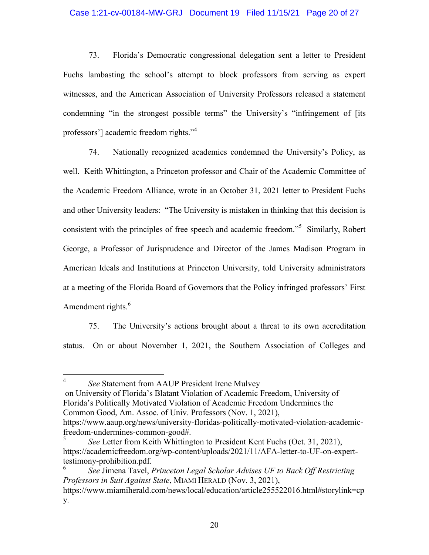## Case 1:21-cv-00184-MW-GRJ Document 19 Filed 11/15/21 Page 20 of 27

73. Florida's Democratic congressional delegation sent a letter to President Fuchs lambasting the school's attempt to block professors from serving as expert witnesses, and the American Association of University Professors released a statement condemning "in the strongest possible terms" the University's "infringement of [its professors'] academic freedom rights."<sup>4</sup>

74. Nationally recognized academics condemned the University's Policy, as well. Keith Whittington, a Princeton professor and Chair of the Academic Committee of the Academic Freedom Alliance, wrote in an October 31, 2021 letter to President Fuchs and other University leaders: "The University is mistaken in thinking that this decision is consistent with the principles of free speech and academic freedom."<sup>5</sup> Similarly, Robert George, a Professor of Jurisprudence and Director of the James Madison Program in American Ideals and Institutions at Princeton University, told University administrators at a meeting of the Florida Board of Governors that the Policy infringed professors' First Amendment rights.<sup>6</sup>

75. The University's actions brought about a threat to its own accreditation status. On or about November 1, 2021, the Southern Association of Colleges and

 $\frac{1}{4}$ *See* Statement from AAUP President Irene Mulvey

on University of Florida's Blatant Violation of Academic Freedom, University of Florida's Politically Motivated Violation of Academic Freedom Undermines the Common Good, Am. Assoc. of Univ. Professors (Nov. 1, 2021), https://www.aaup.org/news/university-floridas-politically-motivated-violation-academic-

freedom-undermines-common-good#.

<sup>5</sup> *See* Letter from Keith Whittington to President Kent Fuchs (Oct. 31, 2021), https://academicfreedom.org/wp-content/uploads/2021/11/AFA-letter-to-UF-on-experttestimony-prohibition.pdf.

<sup>6</sup> *See* Jimena Tavel, *Princeton Legal Scholar Advises UF to Back Off Restricting Professors in Suit Against State*, MIAMI HERALD (Nov. 3, 2021), https://www.miamiherald.com/news/local/education/article255522016.html#storylink=cp y.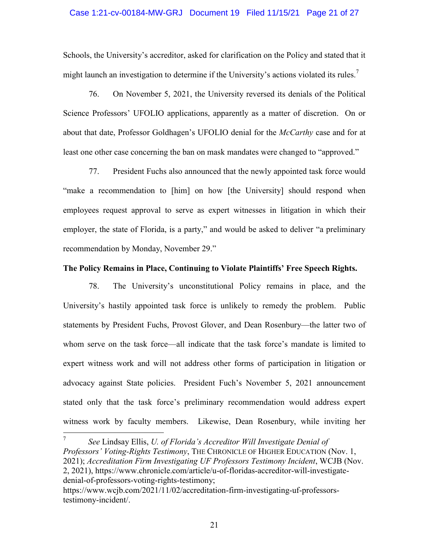## Case 1:21-cv-00184-MW-GRJ Document 19 Filed 11/15/21 Page 21 of 27

Schools, the University's accreditor, asked for clarification on the Policy and stated that it might launch an investigation to determine if the University's actions violated its rules.<sup>7</sup>

76. On November 5, 2021, the University reversed its denials of the Political Science Professors' UFOLIO applications, apparently as a matter of discretion. On or about that date, Professor Goldhagen's UFOLIO denial for the *McCarthy* case and for at least one other case concerning the ban on mask mandates were changed to "approved."

77. President Fuchs also announced that the newly appointed task force would "make a recommendation to [him] on how [the University] should respond when employees request approval to serve as expert witnesses in litigation in which their employer, the state of Florida, is a party," and would be asked to deliver "a preliminary recommendation by Monday, November 29."

## **The Policy Remains in Place, Continuing to Violate Plaintiffs' Free Speech Rights.**

78. The University's unconstitutional Policy remains in place, and the University's hastily appointed task force is unlikely to remedy the problem. Public statements by President Fuchs, Provost Glover, and Dean Rosenbury—the latter two of whom serve on the task force—all indicate that the task force's mandate is limited to expert witness work and will not address other forms of participation in litigation or advocacy against State policies. President Fuch's November 5, 2021 announcement stated only that the task force's preliminary recommendation would address expert witness work by faculty members. Likewise, Dean Rosenbury, while inviting her

 $\overline{a}$ 

<sup>7</sup> *See* Lindsay Ellis, *U. of Florida's Accreditor Will Investigate Denial of Professors' Voting-Rights Testimony*, THE CHRONICLE OF HIGHER EDUCATION (Nov. 1, 2021); *Accreditation Firm Investigating UF Professors Testimony Incident*, WCJB (Nov. 2, 2021), https://www.chronicle.com/article/u-of-floridas-accreditor-will-investigatedenial-of-professors-voting-rights-testimony;

https://www.wcjb.com/2021/11/02/accreditation-firm-investigating-uf-professorstestimony-incident/.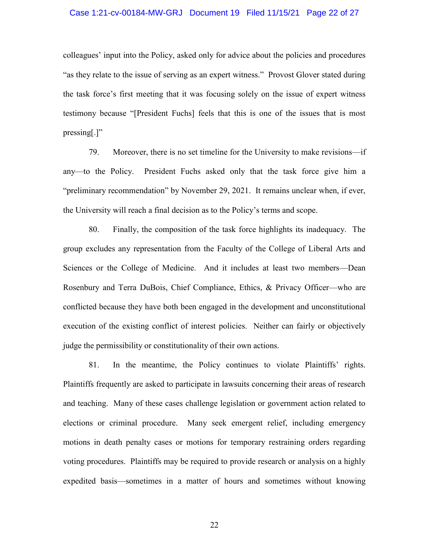## Case 1:21-cv-00184-MW-GRJ Document 19 Filed 11/15/21 Page 22 of 27

colleagues' input into the Policy, asked only for advice about the policies and procedures "as they relate to the issue of serving as an expert witness." Provost Glover stated during the task force's first meeting that it was focusing solely on the issue of expert witness testimony because "[President Fuchs] feels that this is one of the issues that is most pressing[.]"

79. Moreover, there is no set timeline for the University to make revisions—if any—to the Policy. President Fuchs asked only that the task force give him a "preliminary recommendation" by November 29, 2021. It remains unclear when, if ever, the University will reach a final decision as to the Policy's terms and scope.

80. Finally, the composition of the task force highlights its inadequacy. The group excludes any representation from the Faculty of the College of Liberal Arts and Sciences or the College of Medicine. And it includes at least two members—Dean Rosenbury and Terra DuBois, Chief Compliance, Ethics, & Privacy Officer—who are conflicted because they have both been engaged in the development and unconstitutional execution of the existing conflict of interest policies. Neither can fairly or objectively judge the permissibility or constitutionality of their own actions.

81. In the meantime, the Policy continues to violate Plaintiffs' rights. Plaintiffs frequently are asked to participate in lawsuits concerning their areas of research and teaching. Many of these cases challenge legislation or government action related to elections or criminal procedure. Many seek emergent relief, including emergency motions in death penalty cases or motions for temporary restraining orders regarding voting procedures. Plaintiffs may be required to provide research or analysis on a highly expedited basis—sometimes in a matter of hours and sometimes without knowing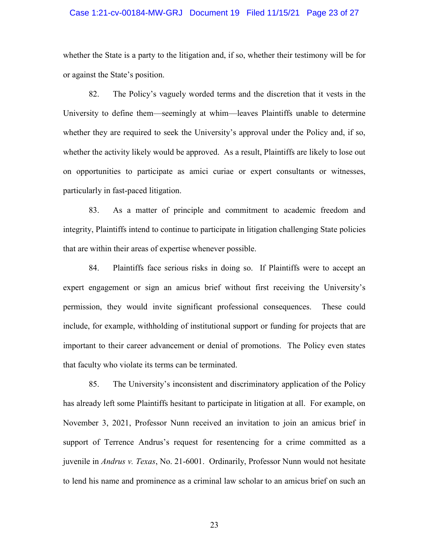## Case 1:21-cv-00184-MW-GRJ Document 19 Filed 11/15/21 Page 23 of 27

whether the State is a party to the litigation and, if so, whether their testimony will be for or against the State's position.

82. The Policy's vaguely worded terms and the discretion that it vests in the University to define them—seemingly at whim—leaves Plaintiffs unable to determine whether they are required to seek the University's approval under the Policy and, if so, whether the activity likely would be approved. As a result, Plaintiffs are likely to lose out on opportunities to participate as amici curiae or expert consultants or witnesses, particularly in fast-paced litigation.

83. As a matter of principle and commitment to academic freedom and integrity, Plaintiffs intend to continue to participate in litigation challenging State policies that are within their areas of expertise whenever possible.

84. Plaintiffs face serious risks in doing so. If Plaintiffs were to accept an expert engagement or sign an amicus brief without first receiving the University's permission, they would invite significant professional consequences. These could include, for example, withholding of institutional support or funding for projects that are important to their career advancement or denial of promotions. The Policy even states that faculty who violate its terms can be terminated.

85. The University's inconsistent and discriminatory application of the Policy has already left some Plaintiffs hesitant to participate in litigation at all. For example, on November 3, 2021, Professor Nunn received an invitation to join an amicus brief in support of Terrence Andrus's request for resentencing for a crime committed as a juvenile in *Andrus v. Texas*, No. 21-6001. Ordinarily, Professor Nunn would not hesitate to lend his name and prominence as a criminal law scholar to an amicus brief on such an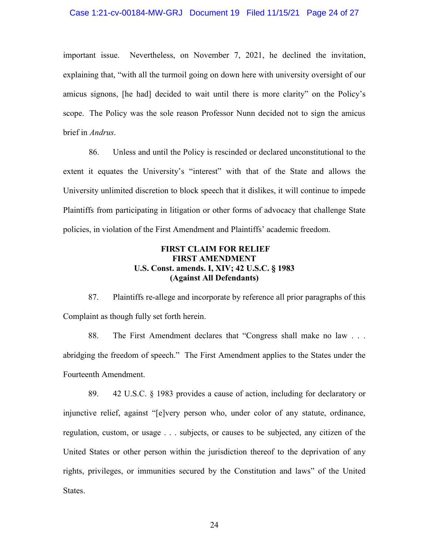## Case 1:21-cv-00184-MW-GRJ Document 19 Filed 11/15/21 Page 24 of 27

important issue. Nevertheless, on November 7, 2021, he declined the invitation, explaining that, "with all the turmoil going on down here with university oversight of our amicus signons, [he had] decided to wait until there is more clarity" on the Policy's scope. The Policy was the sole reason Professor Nunn decided not to sign the amicus brief in *Andrus*.

86. Unless and until the Policy is rescinded or declared unconstitutional to the extent it equates the University's "interest" with that of the State and allows the University unlimited discretion to block speech that it dislikes, it will continue to impede Plaintiffs from participating in litigation or other forms of advocacy that challenge State policies, in violation of the First Amendment and Plaintiffs' academic freedom.

## **FIRST CLAIM FOR RELIEF FIRST AMENDMENT U.S. Const. amends. I, XIV; 42 U.S.C. § 1983 (Against All Defendants)**

87. Plaintiffs re-allege and incorporate by reference all prior paragraphs of this Complaint as though fully set forth herein.

88. The First Amendment declares that "Congress shall make no law . . . abridging the freedom of speech." The First Amendment applies to the States under the Fourteenth Amendment.

89. 42 U.S.C. § 1983 provides a cause of action, including for declaratory or injunctive relief, against "[e]very person who, under color of any statute, ordinance, regulation, custom, or usage . . . subjects, or causes to be subjected, any citizen of the United States or other person within the jurisdiction thereof to the deprivation of any rights, privileges, or immunities secured by the Constitution and laws" of the United States.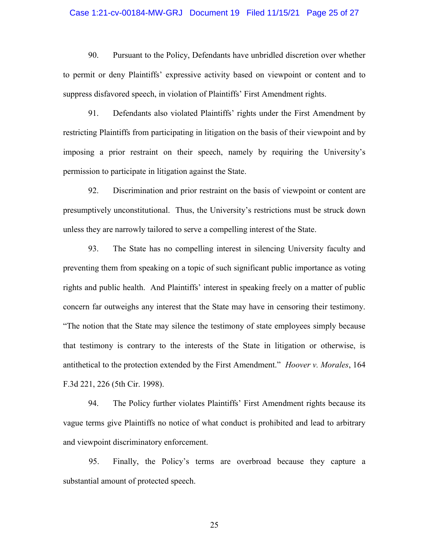## Case 1:21-cv-00184-MW-GRJ Document 19 Filed 11/15/21 Page 25 of 27

90. Pursuant to the Policy, Defendants have unbridled discretion over whether to permit or deny Plaintiffs' expressive activity based on viewpoint or content and to suppress disfavored speech, in violation of Plaintiffs' First Amendment rights.

91. Defendants also violated Plaintiffs' rights under the First Amendment by restricting Plaintiffs from participating in litigation on the basis of their viewpoint and by imposing a prior restraint on their speech, namely by requiring the University's permission to participate in litigation against the State.

92. Discrimination and prior restraint on the basis of viewpoint or content are presumptively unconstitutional. Thus, the University's restrictions must be struck down unless they are narrowly tailored to serve a compelling interest of the State.

93. The State has no compelling interest in silencing University faculty and preventing them from speaking on a topic of such significant public importance as voting rights and public health. And Plaintiffs' interest in speaking freely on a matter of public concern far outweighs any interest that the State may have in censoring their testimony. "The notion that the State may silence the testimony of state employees simply because that testimony is contrary to the interests of the State in litigation or otherwise, is antithetical to the protection extended by the First Amendment." *Hoover v. Morales*, 164 F.3d 221, 226 (5th Cir. 1998).

94. The Policy further violates Plaintiffs' First Amendment rights because its vague terms give Plaintiffs no notice of what conduct is prohibited and lead to arbitrary and viewpoint discriminatory enforcement.

95. Finally, the Policy's terms are overbroad because they capture a substantial amount of protected speech.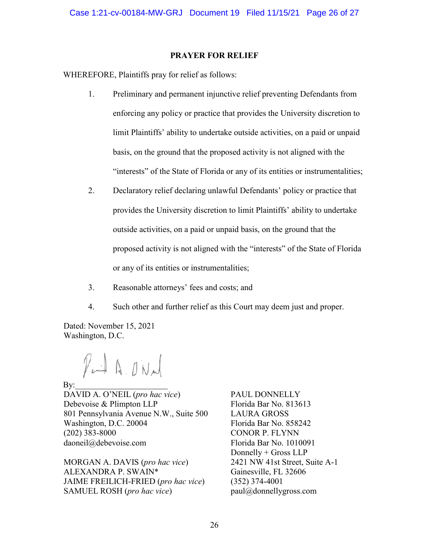## **PRAYER FOR RELIEF**

WHEREFORE, Plaintiffs pray for relief as follows:

- 1. Preliminary and permanent injunctive relief preventing Defendants from enforcing any policy or practice that provides the University discretion to limit Plaintiffs' ability to undertake outside activities, on a paid or unpaid basis, on the ground that the proposed activity is not aligned with the "interests" of the State of Florida or any of its entities or instrumentalities;
- 2. Declaratory relief declaring unlawful Defendants' policy or practice that provides the University discretion to limit Plaintiffs' ability to undertake outside activities, on a paid or unpaid basis, on the ground that the proposed activity is not aligned with the "interests" of the State of Florida or any of its entities or instrumentalities;
- 3. Reasonable attorneys' fees and costs; and
- 4. Such other and further relief as this Court may deem just and proper.

Dated: November 15, 2021 Washington, D.C.

Put A ONN

 $\rm\,By:$ 

DAVID A. O'NEIL (*pro hac vice*) Debevoise & Plimpton LLP 801 Pennsylvania Avenue N.W., Suite 500 Washington, D.C. 20004 (202) 383-8000 daoneil@debevoise.com

MORGAN A. DAVIS (*pro hac vice*) ALEXANDRA P. SWAIN\* JAIME FREILICH-FRIED (*pro hac vice*) SAMUEL ROSH (*pro hac vice*)

PAUL DONNELLY Florida Bar No. 813613 LAURA GROSS Florida Bar No. 858242 CONOR P. FLYNN Florida Bar No. 1010091 Donnelly + Gross LLP 2421 NW 41st Street, Suite A-1 Gainesville, FL 32606 (352) 374-4001 paul@donnellygross.com